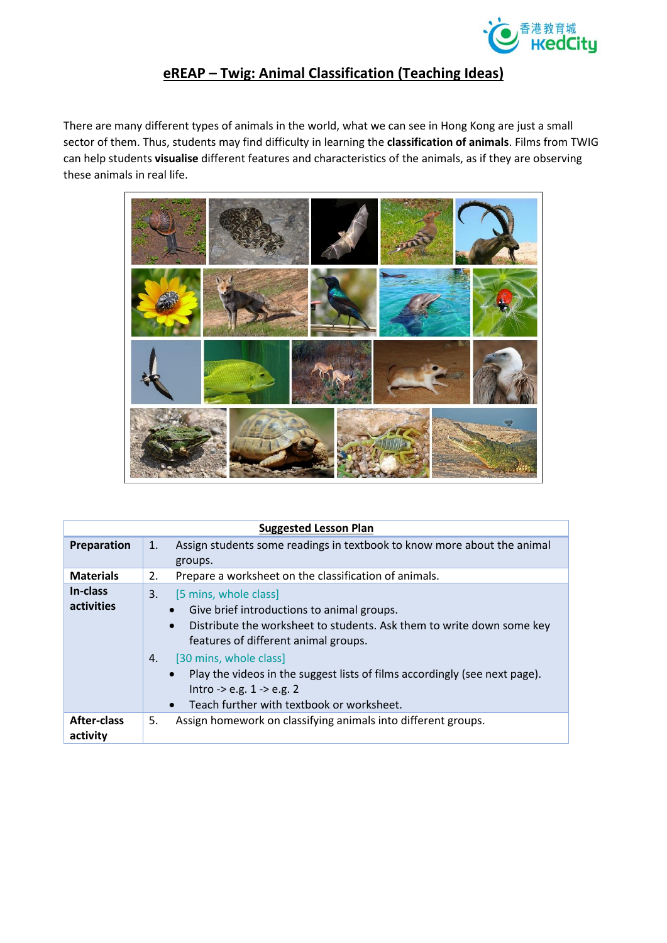

## **eREAP – Twig: Animal Classification (Teaching Ideas)**

There are many different types of animals in the world, what we can see in Hong Kong are just a small sector of them. Thus, students may find difficulty in learning the **classification of animals**. Films from TWIG can help students **visualise** different features and characteristics of the animals, as if they are observing these animals in real life.



| <b>Suggested Lesson Plan</b>   |                                                                                                                                                                                                                                                                                                                                                                                                    |  |  |  |  |  |  |
|--------------------------------|----------------------------------------------------------------------------------------------------------------------------------------------------------------------------------------------------------------------------------------------------------------------------------------------------------------------------------------------------------------------------------------------------|--|--|--|--|--|--|
| Preparation                    | Assign students some readings in textbook to know more about the animal<br>1.<br>groups.                                                                                                                                                                                                                                                                                                           |  |  |  |  |  |  |
| <b>Materials</b>               | Prepare a worksheet on the classification of animals.<br>2.                                                                                                                                                                                                                                                                                                                                        |  |  |  |  |  |  |
| In-class<br>activities         | 3.<br>[5 mins, whole class]<br>Give brief introductions to animal groups.<br>Distribute the worksheet to students. Ask them to write down some key<br>$\bullet$<br>features of different animal groups.<br>[30 mins, whole class]<br>4.<br>Play the videos in the suggest lists of films accordingly (see next page).<br>Intro -> e.g. $1 -$ > e.g. 2<br>Teach further with textbook or worksheet. |  |  |  |  |  |  |
| <b>After-class</b><br>activity | Assign homework on classifying animals into different groups.<br>5.                                                                                                                                                                                                                                                                                                                                |  |  |  |  |  |  |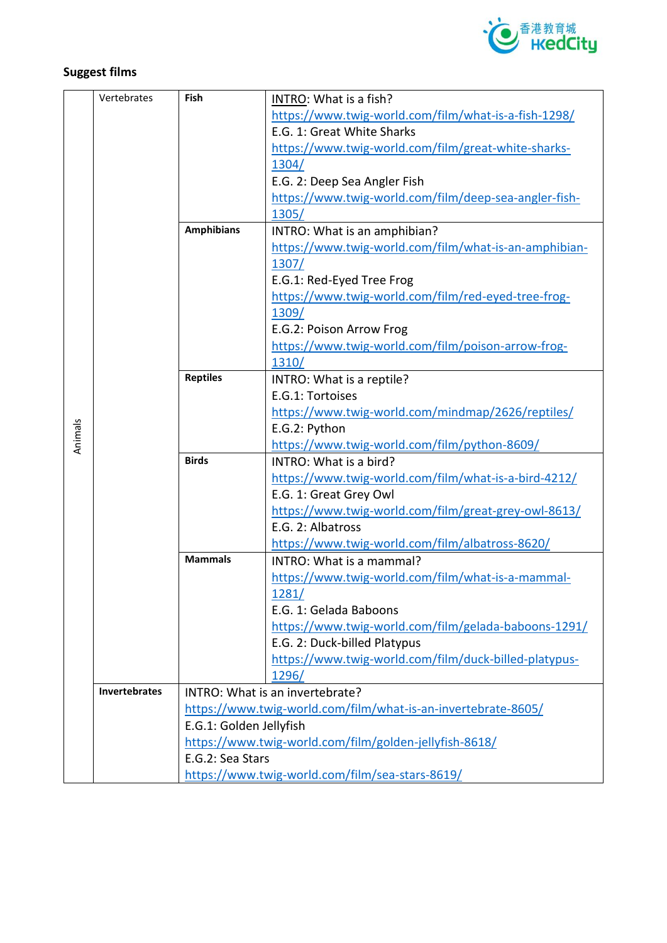

## **Suggest films**

|         | Vertebrates                                     | Fish                                                   | INTRO: What is a fish?                                        |
|---------|-------------------------------------------------|--------------------------------------------------------|---------------------------------------------------------------|
|         |                                                 |                                                        | https://www.twig-world.com/film/what-is-a-fish-1298/          |
|         |                                                 |                                                        | E.G. 1: Great White Sharks                                    |
|         |                                                 |                                                        | https://www.twig-world.com/film/great-white-sharks-           |
|         |                                                 |                                                        | 1304/                                                         |
|         |                                                 |                                                        | E.G. 2: Deep Sea Angler Fish                                  |
|         |                                                 |                                                        | https://www.twig-world.com/film/deep-sea-angler-fish-         |
|         |                                                 |                                                        | 1305/                                                         |
|         |                                                 | <b>Amphibians</b>                                      | INTRO: What is an amphibian?                                  |
|         |                                                 |                                                        | https://www.twig-world.com/film/what-is-an-amphibian-         |
|         |                                                 |                                                        | 1307/                                                         |
|         |                                                 |                                                        | E.G.1: Red-Eyed Tree Frog                                     |
|         |                                                 |                                                        | https://www.twig-world.com/film/red-eyed-tree-frog-           |
|         |                                                 |                                                        | <u>1309/</u>                                                  |
|         |                                                 |                                                        | E.G.2: Poison Arrow Frog                                      |
|         |                                                 |                                                        | https://www.twig-world.com/film/poison-arrow-frog-            |
|         |                                                 |                                                        | 1310/                                                         |
|         |                                                 | <b>Reptiles</b>                                        | INTRO: What is a reptile?                                     |
|         |                                                 |                                                        | E.G.1: Tortoises                                              |
|         |                                                 |                                                        | https://www.twig-world.com/mindmap/2626/reptiles/             |
| Animals |                                                 |                                                        | E.G.2: Python                                                 |
|         |                                                 |                                                        | https://www.twig-world.com/film/python-8609/                  |
|         |                                                 | <b>Birds</b>                                           | INTRO: What is a bird?                                        |
|         |                                                 |                                                        | https://www.twig-world.com/film/what-is-a-bird-4212/          |
|         |                                                 |                                                        | E.G. 1: Great Grey Owl                                        |
|         |                                                 |                                                        | https://www.twig-world.com/film/great-grey-owl-8613/          |
|         |                                                 |                                                        | E.G. 2: Albatross                                             |
|         |                                                 |                                                        | https://www.twig-world.com/film/albatross-8620/               |
|         |                                                 | <b>Mammals</b>                                         | INTRO: What is a mammal?                                      |
|         |                                                 |                                                        | https://www.twig-world.com/film/what-is-a-mammal-             |
|         |                                                 |                                                        | 1281/                                                         |
|         |                                                 |                                                        | E.G. 1: Gelada Baboons                                        |
|         |                                                 |                                                        | https://www.twig-world.com/film/gelada-baboons-1291/          |
|         |                                                 |                                                        | E.G. 2: Duck-billed Platypus                                  |
|         |                                                 |                                                        | https://www.twig-world.com/film/duck-billed-platypus-         |
|         |                                                 |                                                        | <u>1296/</u>                                                  |
|         | Invertebrates                                   |                                                        | INTRO: What is an invertebrate?                               |
|         |                                                 |                                                        | https://www.twig-world.com/film/what-is-an-invertebrate-8605/ |
|         |                                                 | E.G.1: Golden Jellyfish                                |                                                               |
|         |                                                 | https://www.twig-world.com/film/golden-jellyfish-8618/ |                                                               |
|         |                                                 | E.G.2: Sea Stars                                       |                                                               |
|         | https://www.twig-world.com/film/sea-stars-8619/ |                                                        |                                                               |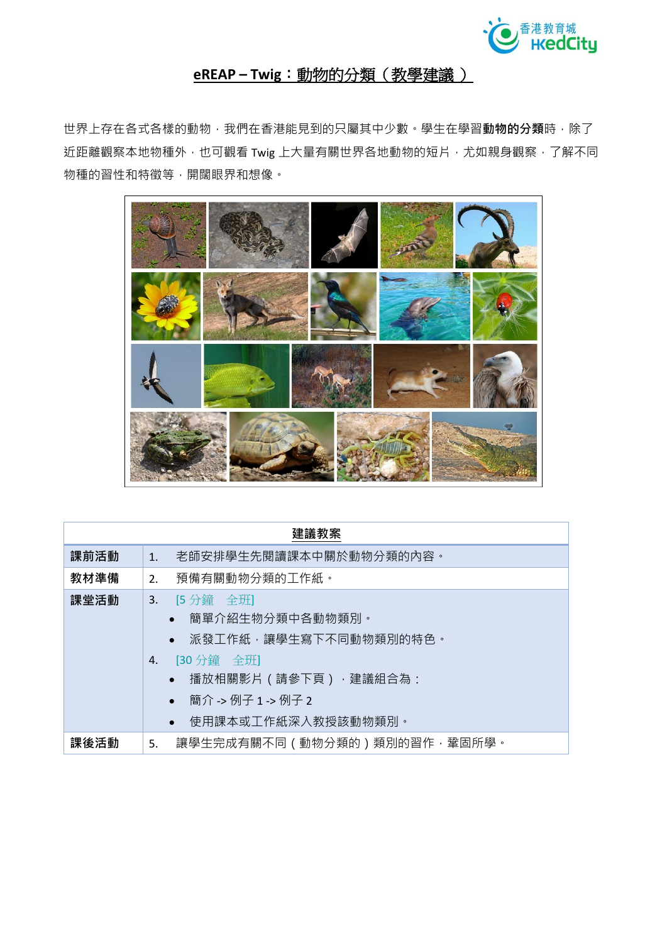

## **eREAP – Twig**:動物的分類(教學建議 )

世界上存在各式各樣的動物,我們在香港能見到的只屬其中少數。學生在學習**動物的分類**時,除了 近距離觀察本地物種外,也可觀看 Twig 上大量有關世界各地動物的短片,尤如親身觀察,了解不同 物種的習性和特徵等,開闊眼界和想像。



| 建議教案 |                                                                                                                                                                                         |  |  |  |  |  |
|------|-----------------------------------------------------------------------------------------------------------------------------------------------------------------------------------------|--|--|--|--|--|
| 課前活動 | 老師安排學生先閱讀課本中關於動物分類的內容。<br>1 <sup>1</sup>                                                                                                                                                |  |  |  |  |  |
| 教材準備 | 預備有關動物分類的工作紙。<br>2.                                                                                                                                                                     |  |  |  |  |  |
| 課堂活動 | 3. [5分鐘 全班]<br>• 簡單介紹生物分類中各動物類別。<br>派發工作紙,讓學生寫下不同動物類別的特色。<br>[30 分鐘 全班]<br>4.<br>播放相關影片(請參下頁),建議組合為:<br>$\bullet$<br>簡介 -> 例子 1 -> 例子 2<br>$\bullet$<br>使用課本或工作紙深入教授該動物類別。<br>$\bullet$ |  |  |  |  |  |
| 課後活動 | 讓學生完成有關不同(動物分類的)類別的習作,鞏固所學。<br>5.                                                                                                                                                       |  |  |  |  |  |